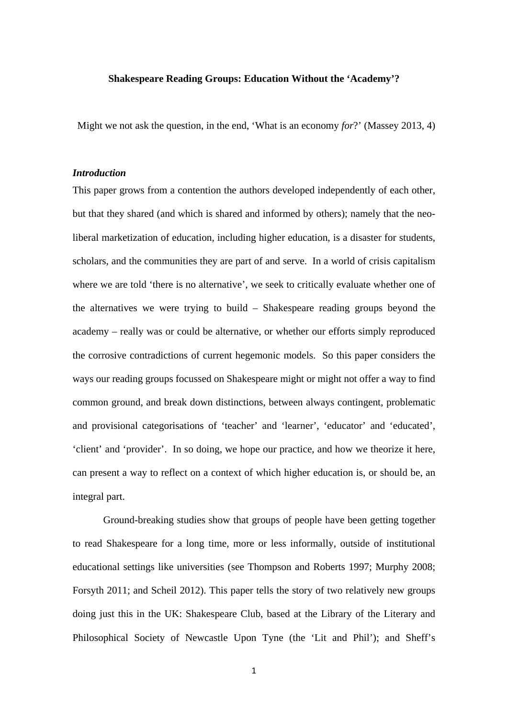## **Shakespeare Reading Groups: Education Without the 'Academy'?**

Might we not ask the question, in the end, 'What is an economy *for*?' (Massey 2013, 4)

# *Introduction*

This paper grows from a contention the authors developed independently of each other, but that they shared (and which is shared and informed by others); namely that the neoliberal marketization of education, including higher education, is a disaster for students, scholars, and the communities they are part of and serve. In a world of crisis capitalism where we are told 'there is no alternative', we seek to critically evaluate whether one of the alternatives we were trying to build – Shakespeare reading groups beyond the academy – really was or could be alternative, or whether our efforts simply reproduced the corrosive contradictions of current hegemonic models. So this paper considers the ways our reading groups focussed on Shakespeare might or might not offer a way to find common ground, and break down distinctions, between always contingent, problematic and provisional categorisations of 'teacher' and 'learner', 'educator' and 'educated', 'client' and 'provider'. In so doing, we hope our practice, and how we theorize it here, can present a way to reflect on a context of which higher education is, or should be, an integral part.

Ground-breaking studies show that groups of people have been getting together to read Shakespeare for a long time, more or less informally, outside of institutional educational settings like universities (see Thompson and Roberts 1997; Murphy 2008; Forsyth 2011; and Scheil 2012). This paper tells the story of two relatively new groups doing just this in the UK: Shakespeare Club, based at the Library of the Literary and Philosophical Society of Newcastle Upon Tyne (the 'Lit and Phil'); and Sheff's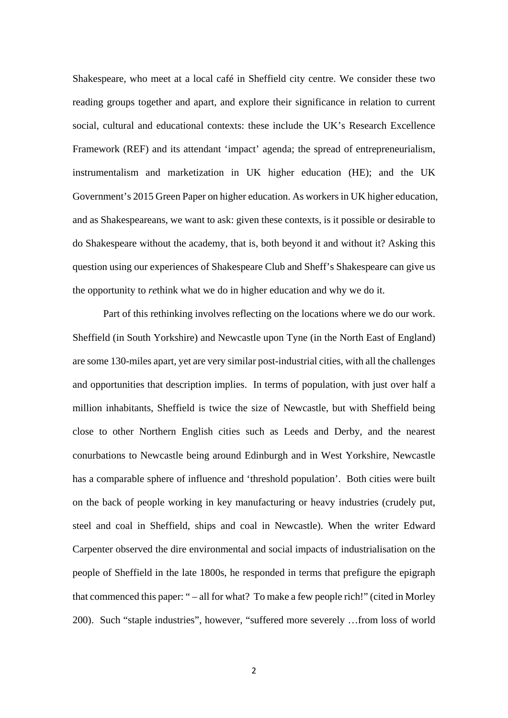Shakespeare, who meet at a local café in Sheffield city centre. We consider these two reading groups together and apart, and explore their significance in relation to current social, cultural and educational contexts: these include the UK's Research Excellence Framework (REF) and its attendant 'impact' agenda; the spread of entrepreneurialism, instrumentalism and marketization in UK higher education (HE); and the UK Government's 2015 Green Paper on higher education. As workers in UK higher education, and as Shakespeareans, we want to ask: given these contexts, is it possible or desirable to do Shakespeare without the academy, that is, both beyond it and without it? Asking this question using our experiences of Shakespeare Club and Sheff's Shakespeare can give us the opportunity to *re*think what we do in higher education and why we do it.

Part of this rethinking involves reflecting on the locations where we do our work. Sheffield (in South Yorkshire) and Newcastle upon Tyne (in the North East of England) are some 130-miles apart, yet are very similar post-industrial cities, with all the challenges and opportunities that description implies. In terms of population, with just over half a million inhabitants, Sheffield is twice the size of Newcastle, but with Sheffield being close to other Northern English cities such as Leeds and Derby, and the nearest conurbations to Newcastle being around Edinburgh and in West Yorkshire, Newcastle has a comparable sphere of influence and 'threshold population'. Both cities were built on the back of people working in key manufacturing or heavy industries (crudely put, steel and coal in Sheffield, ships and coal in Newcastle). When the writer Edward Carpenter observed the dire environmental and social impacts of industrialisation on the people of Sheffield in the late 1800s, he responded in terms that prefigure the epigraph that commenced this paper: " – all for what? To make a few people rich!" (cited in Morley 200). Such "staple industries", however, "suffered more severely …from loss of world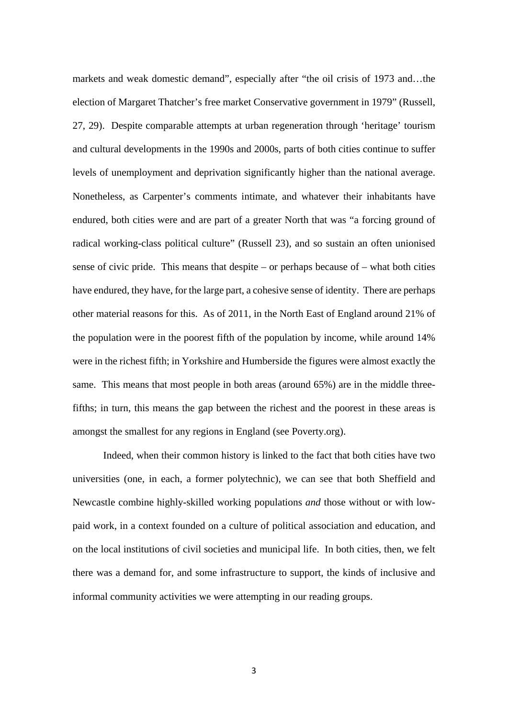markets and weak domestic demand", especially after "the oil crisis of 1973 and…the election of Margaret Thatcher's free market Conservative government in 1979" (Russell, 27, 29). Despite comparable attempts at urban regeneration through 'heritage' tourism and cultural developments in the 1990s and 2000s, parts of both cities continue to suffer levels of unemployment and deprivation significantly higher than the national average. Nonetheless, as Carpenter's comments intimate, and whatever their inhabitants have endured, both cities were and are part of a greater North that was "a forcing ground of radical working-class political culture" (Russell 23), and so sustain an often unionised sense of civic pride. This means that despite – or perhaps because of – what both cities have endured, they have, for the large part, a cohesive sense of identity. There are perhaps other material reasons for this. As of 2011, in the North East of England around 21% of the population were in the poorest fifth of the population by income, while around 14% were in the richest fifth; in Yorkshire and Humberside the figures were almost exactly the same. This means that most people in both areas (around 65%) are in the middle threefifths; in turn, this means the gap between the richest and the poorest in these areas is amongst the smallest for any regions in England (see Poverty.org).

Indeed, when their common history is linked to the fact that both cities have two universities (one, in each, a former polytechnic), we can see that both Sheffield and Newcastle combine highly-skilled working populations *and* those without or with lowpaid work, in a context founded on a culture of political association and education, and on the local institutions of civil societies and municipal life. In both cities, then, we felt there was a demand for, and some infrastructure to support, the kinds of inclusive and informal community activities we were attempting in our reading groups.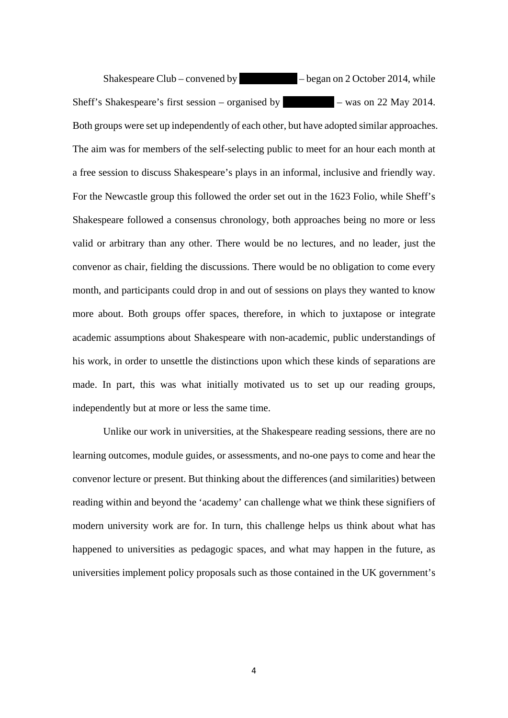Shakespeare Club – convened by  $-$  began on 2 October 2014, while Sheff's Shakespeare's first session – organised by  $\blacksquare$  – was on 22 May 2014. Both groups were set up independently of each other, but have adopted similar approaches. The aim was for members of the self-selecting public to meet for an hour each month at a free session to discuss Shakespeare's plays in an informal, inclusive and friendly way. For the Newcastle group this followed the order set out in the 1623 Folio, while Sheff's Shakespeare followed a consensus chronology, both approaches being no more or less valid or arbitrary than any other. There would be no lectures, and no leader, just the convenor as chair, fielding the discussions. There would be no obligation to come every month, and participants could drop in and out of sessions on plays they wanted to know more about. Both groups offer spaces, therefore, in which to juxtapose or integrate academic assumptions about Shakespeare with non-academic, public understandings of his work, in order to unsettle the distinctions upon which these kinds of separations are made. In part, this was what initially motivated us to set up our reading groups, independently but at more or less the same time.

Unlike our work in universities, at the Shakespeare reading sessions, there are no learning outcomes, module guides, or assessments, and no-one pays to come and hear the convenor lecture or present. But thinking about the differences (and similarities) between reading within and beyond the 'academy' can challenge what we think these signifiers of modern university work are for. In turn, this challenge helps us think about what has happened to universities as pedagogic spaces, and what may happen in the future, as universities implement policy proposals such as those contained in the UK government's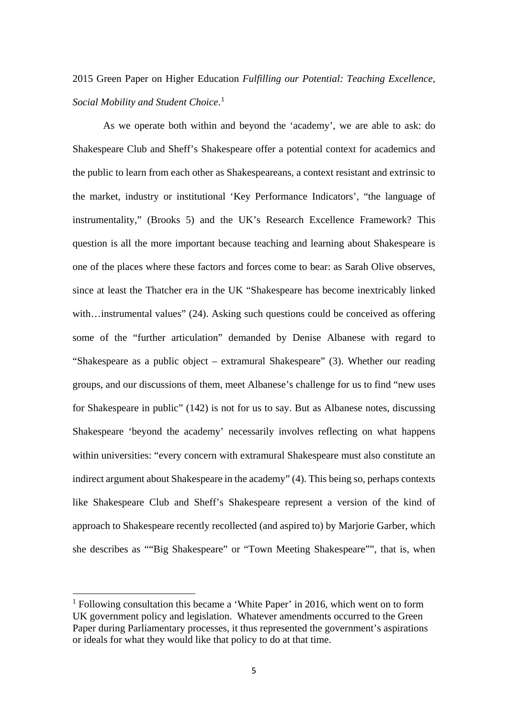# 2015 Green Paper on Higher Education *Fulfilling our Potential: Teaching Excellence, Social Mobility and Student Choice*. [1](#page-4-0)

As we operate both within and beyond the 'academy', we are able to ask: do Shakespeare Club and Sheff's Shakespeare offer a potential context for academics and the public to learn from each other as Shakespeareans, a context resistant and extrinsic to the market, industry or institutional 'Key Performance Indicators', "the language of instrumentality," (Brooks 5) and the UK's Research Excellence Framework? This question is all the more important because teaching and learning about Shakespeare is one of the places where these factors and forces come to bear: as Sarah Olive observes, since at least the Thatcher era in the UK "Shakespeare has become inextricably linked with...instrumental values" (24). Asking such questions could be conceived as offering some of the "further articulation" demanded by Denise Albanese with regard to "Shakespeare as a public object – extramural Shakespeare" (3). Whether our reading groups, and our discussions of them, meet Albanese's challenge for us to find "new uses for Shakespeare in public" (142) is not for us to say. But as Albanese notes, discussing Shakespeare 'beyond the academy' necessarily involves reflecting on what happens within universities: "every concern with extramural Shakespeare must also constitute an indirect argument about Shakespeare in the academy" (4). This being so, perhaps contexts like Shakespeare Club and Sheff's Shakespeare represent a version of the kind of approach to Shakespeare recently recollected (and aspired to) by Marjorie Garber, which she describes as ""Big Shakespeare" or "Town Meeting Shakespeare"", that is, when

<u>.</u>

<span id="page-4-0"></span><sup>&</sup>lt;sup>1</sup> Following consultation this became a 'White Paper' in 2016, which went on to form UK government policy and legislation. Whatever amendments occurred to the Green Paper during Parliamentary processes, it thus represented the government's aspirations or ideals for what they would like that policy to do at that time.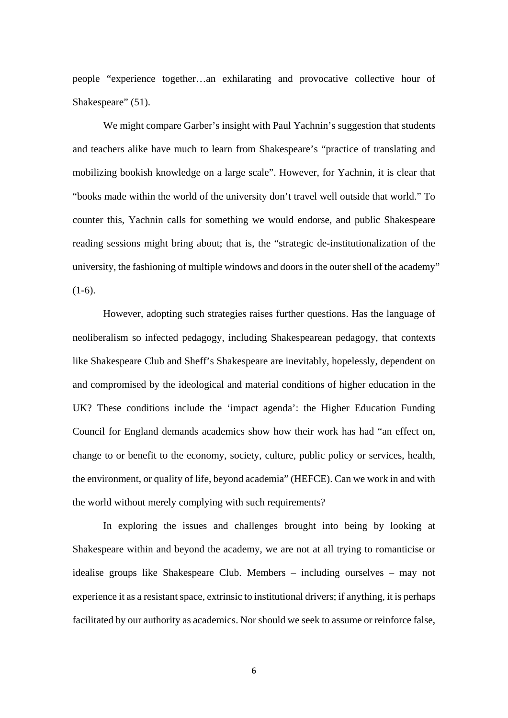people "experience together…an exhilarating and provocative collective hour of Shakespeare" (51).

We might compare Garber's insight with Paul Yachnin's suggestion that students and teachers alike have much to learn from Shakespeare's "practice of translating and mobilizing bookish knowledge on a large scale". However, for Yachnin, it is clear that "books made within the world of the university don't travel well outside that world." To counter this, Yachnin calls for something we would endorse, and public Shakespeare reading sessions might bring about; that is, the "strategic de-institutionalization of the university, the fashioning of multiple windows and doors in the outer shell of the academy"  $(1-6).$ 

However, adopting such strategies raises further questions. Has the language of neoliberalism so infected pedagogy, including Shakespearean pedagogy, that contexts like Shakespeare Club and Sheff's Shakespeare are inevitably, hopelessly, dependent on and compromised by the ideological and material conditions of higher education in the UK? These conditions include the 'impact agenda': the Higher Education Funding Council for England demands academics show how their work has had "an effect on, change to or benefit to the economy, society, culture, public policy or services, health, the environment, or quality of life, beyond academia" (HEFCE). Can we work in and with the world without merely complying with such requirements?

In exploring the issues and challenges brought into being by looking at Shakespeare within and beyond the academy, we are not at all trying to romanticise or idealise groups like Shakespeare Club. Members – including ourselves – may not experience it as a resistant space, extrinsic to institutional drivers; if anything, it is perhaps facilitated by our authority as academics. Nor should we seek to assume or reinforce false,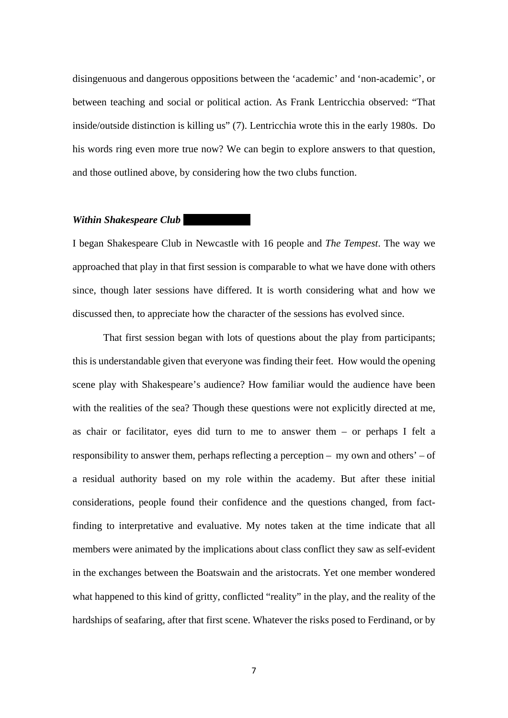disingenuous and dangerous oppositions between the 'academic' and 'non-academic', or between teaching and social or political action. As Frank Lentricchia observed: "That inside/outside distinction is killing us" (7). Lentricchia wrote this in the early 1980s. Do his words ring even more true now? We can begin to explore answers to that question, and those outlined above, by considering how the two clubs function.

#### *Within Shakespeare Club*

I began Shakespeare Club in Newcastle with 16 people and *The Tempest*. The way we approached that play in that first session is comparable to what we have done with others since, though later sessions have differed. It is worth considering what and how we discussed then, to appreciate how the character of the sessions has evolved since.

That first session began with lots of questions about the play from participants; this is understandable given that everyone was finding their feet. How would the opening scene play with Shakespeare's audience? How familiar would the audience have been with the realities of the sea? Though these questions were not explicitly directed at me, as chair or facilitator, eyes did turn to me to answer them – or perhaps I felt a responsibility to answer them, perhaps reflecting a perception – my own and others' – of a residual authority based on my role within the academy. But after these initial considerations, people found their confidence and the questions changed, from factfinding to interpretative and evaluative. My notes taken at the time indicate that all members were animated by the implications about class conflict they saw as self-evident in the exchanges between the Boatswain and the aristocrats. Yet one member wondered what happened to this kind of gritty, conflicted "reality" in the play, and the reality of the hardships of seafaring, after that first scene. Whatever the risks posed to Ferdinand, or by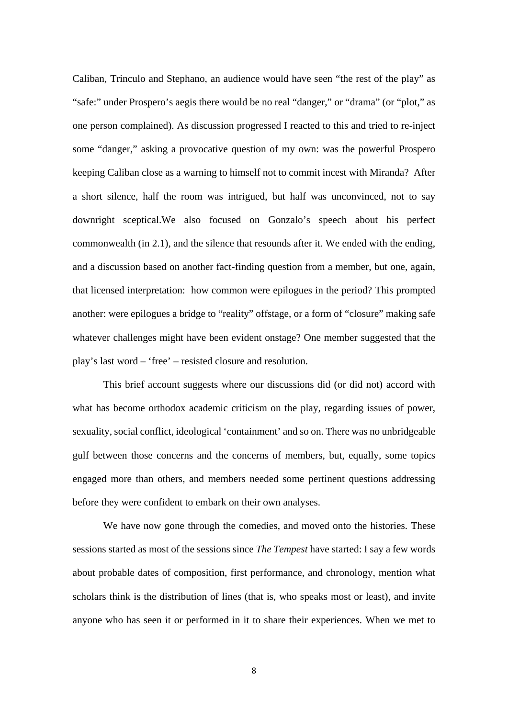Caliban, Trinculo and Stephano, an audience would have seen "the rest of the play" as "safe:" under Prospero's aegis there would be no real "danger," or "drama" (or "plot," as one person complained). As discussion progressed I reacted to this and tried to re-inject some "danger," asking a provocative question of my own: was the powerful Prospero keeping Caliban close as a warning to himself not to commit incest with Miranda? After a short silence, half the room was intrigued, but half was unconvinced, not to say downright sceptical.We also focused on Gonzalo's speech about his perfect commonwealth (in 2.1), and the silence that resounds after it. We ended with the ending, and a discussion based on another fact-finding question from a member, but one, again, that licensed interpretation: how common were epilogues in the period? This prompted another: were epilogues a bridge to "reality" offstage, or a form of "closure" making safe whatever challenges might have been evident onstage? One member suggested that the play's last word – 'free' – resisted closure and resolution.

This brief account suggests where our discussions did (or did not) accord with what has become orthodox academic criticism on the play, regarding issues of power, sexuality, social conflict, ideological 'containment' and so on. There was no unbridgeable gulf between those concerns and the concerns of members, but, equally, some topics engaged more than others, and members needed some pertinent questions addressing before they were confident to embark on their own analyses.

We have now gone through the comedies, and moved onto the histories. These sessions started as most of the sessions since *The Tempest* have started: I say a few words about probable dates of composition, first performance, and chronology, mention what scholars think is the distribution of lines (that is, who speaks most or least), and invite anyone who has seen it or performed in it to share their experiences. When we met to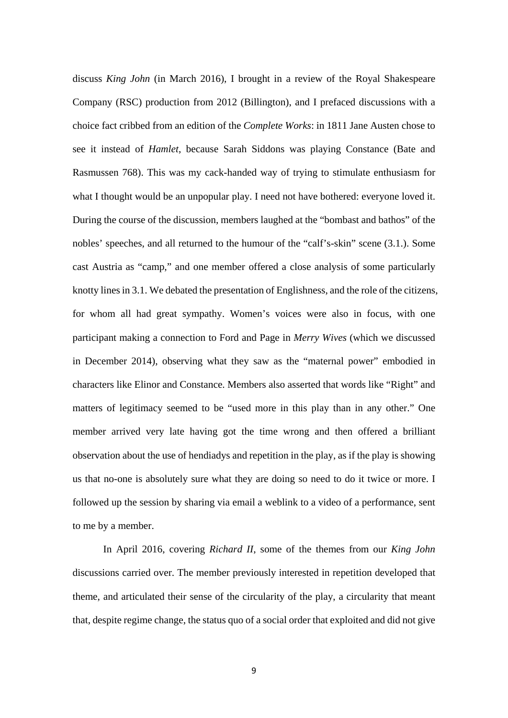discuss *King John* (in March 2016), I brought in a review of the Royal Shakespeare Company (RSC) production from 2012 (Billington), and I prefaced discussions with a choice fact cribbed from an edition of the *Complete Works*: in 1811 Jane Austen chose to see it instead of *Hamlet*, because Sarah Siddons was playing Constance (Bate and Rasmussen 768). This was my cack-handed way of trying to stimulate enthusiasm for what I thought would be an unpopular play. I need not have bothered: everyone loved it. During the course of the discussion, members laughed at the "bombast and bathos" of the nobles' speeches, and all returned to the humour of the "calf's-skin" scene (3.1.). Some cast Austria as "camp," and one member offered a close analysis of some particularly knotty lines in 3.1. We debated the presentation of Englishness, and the role of the citizens, for whom all had great sympathy. Women's voices were also in focus, with one participant making a connection to Ford and Page in *Merry Wives* (which we discussed in December 2014), observing what they saw as the "maternal power" embodied in characters like Elinor and Constance. Members also asserted that words like "Right" and matters of legitimacy seemed to be "used more in this play than in any other." One member arrived very late having got the time wrong and then offered a brilliant observation about the use of hendiadys and repetition in the play, as if the play is showing us that no-one is absolutely sure what they are doing so need to do it twice or more. I followed up the session by sharing via email a weblink to a video of a performance, sent to me by a member.

In April 2016, covering *Richard II*, some of the themes from our *King John* discussions carried over. The member previously interested in repetition developed that theme, and articulated their sense of the circularity of the play, a circularity that meant that, despite regime change, the status quo of a social order that exploited and did not give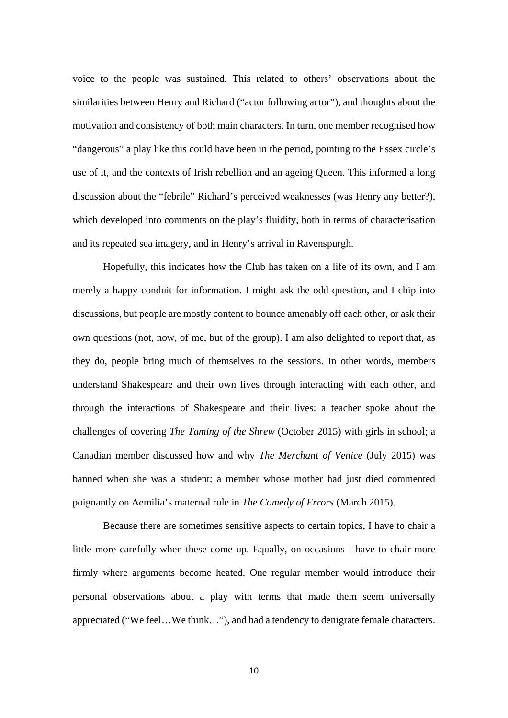voice to the people was sustained. This related to others' observations about the similarities between Henry and Richard ("actor following actor"), and thoughts about the motivation and consistency of both main characters. In turn, one member recognised how "dangerous" a play like this could have been in the period, pointing to the Essex circle's use of it, and the contexts of Irish rebellion and an ageing Queen. This informed a long discussion about the "febrile" Richard's perceived weaknesses (was Henry any better?), which developed into comments on the play's fluidity, both in terms of characterisation and its repeated sea imagery, and in Henry's arrival in Ravenspurgh.

Hopefully, this indicates how the Club has taken on a life of its own, and I am merely a happy conduit for information. I might ask the odd question, and I chip into discussions, but people are mostly content to bounce amenably off each other, or ask their own questions (not, now, of me, but of the group). I am also delighted to report that, as they do, people bring much of themselves to the sessions. In other words, members understand Shakespeare and their own lives through interacting with each other, and through the interactions of Shakespeare and their lives: a teacher spoke about the challenges of covering *The Taming of the Shrew* (October 2015) with girls in school; a Canadian member discussed how and why *The Merchant of Venice* (July 2015) was banned when she was a student; a member whose mother had just died commented poignantly on Aemilia's maternal role in *The Comedy of Errors* (March 2015).

Because there are sometimes sensitive aspects to certain topics, I have to chair a little more carefully when these come up. Equally, on occasions I have to chair more firmly where arguments become heated. One regular member would introduce their personal observations about a play with terms that made them seem universally appreciated ("We feel…We think…"), and had a tendency to denigrate female characters.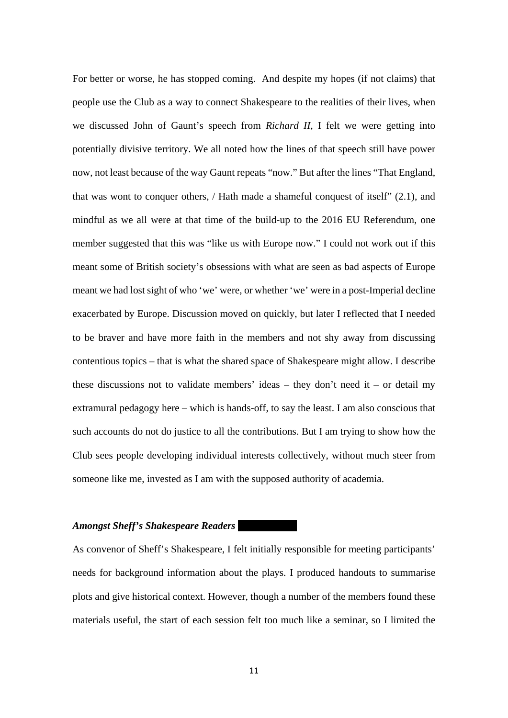For better or worse, he has stopped coming. And despite my hopes (if not claims) that people use the Club as a way to connect Shakespeare to the realities of their lives, when we discussed John of Gaunt's speech from *Richard II*, I felt we were getting into potentially divisive territory. We all noted how the lines of that speech still have power now, not least because of the way Gaunt repeats "now." But after the lines "That England, that was wont to conquer others, / Hath made a shameful conquest of itself" (2.1), and mindful as we all were at that time of the build-up to the 2016 EU Referendum, one member suggested that this was "like us with Europe now." I could not work out if this meant some of British society's obsessions with what are seen as bad aspects of Europe meant we had lost sight of who 'we' were, or whether 'we' were in a post-Imperial decline exacerbated by Europe. Discussion moved on quickly, but later I reflected that I needed to be braver and have more faith in the members and not shy away from discussing contentious topics – that is what the shared space of Shakespeare might allow. I describe these discussions not to validate members' ideas – they don't need it – or detail my extramural pedagogy here – which is hands-off, to say the least. I am also conscious that such accounts do not do justice to all the contributions. But I am trying to show how the Club sees people developing individual interests collectively, without much steer from someone like me, invested as I am with the supposed authority of academia.

## *Amongst Sheff's Shakespeare Readers*

As convenor of Sheff's Shakespeare, I felt initially responsible for meeting participants' needs for background information about the plays. I produced handouts to summarise plots and give historical context. However, though a number of the members found these materials useful, the start of each session felt too much like a seminar, so I limited the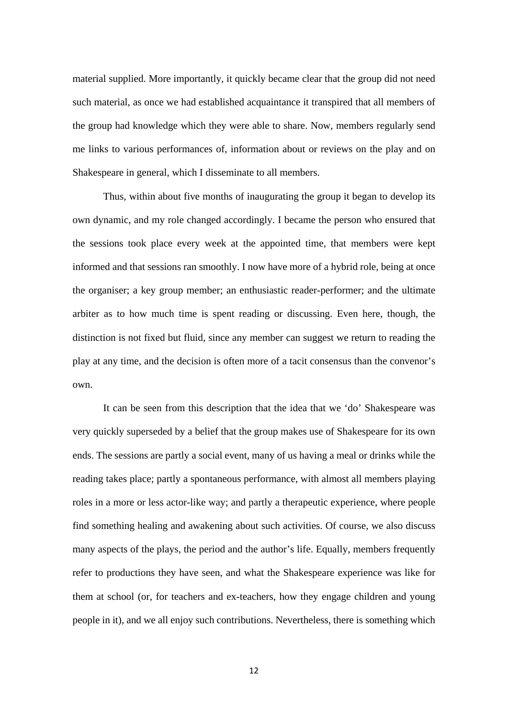material supplied. More importantly, it quickly became clear that the group did not need such material, as once we had established acquaintance it transpired that all members of the group had knowledge which they were able to share. Now, members regularly send me links to various performances of, information about or reviews on the play and on Shakespeare in general, which I disseminate to all members.

Thus, within about five months of inaugurating the group it began to develop its own dynamic, and my role changed accordingly. I became the person who ensured that the sessions took place every week at the appointed time, that members were kept informed and that sessions ran smoothly. I now have more of a hybrid role, being at once the organiser; a key group member; an enthusiastic reader-performer; and the ultimate arbiter as to how much time is spent reading or discussing. Even here, though, the distinction is not fixed but fluid, since any member can suggest we return to reading the play at any time, and the decision is often more of a tacit consensus than the convenor's own.

It can be seen from this description that the idea that we 'do' Shakespeare was very quickly superseded by a belief that the group makes use of Shakespeare for its own ends. The sessions are partly a social event, many of us having a meal or drinks while the reading takes place; partly a spontaneous performance, with almost all members playing roles in a more or less actor-like way; and partly a therapeutic experience, where people find something healing and awakening about such activities. Of course, we also discuss many aspects of the plays, the period and the author's life. Equally, members frequently refer to productions they have seen, and what the Shakespeare experience was like for them at school (or, for teachers and ex-teachers, how they engage children and young people in it), and we all enjoy such contributions. Nevertheless, there is something which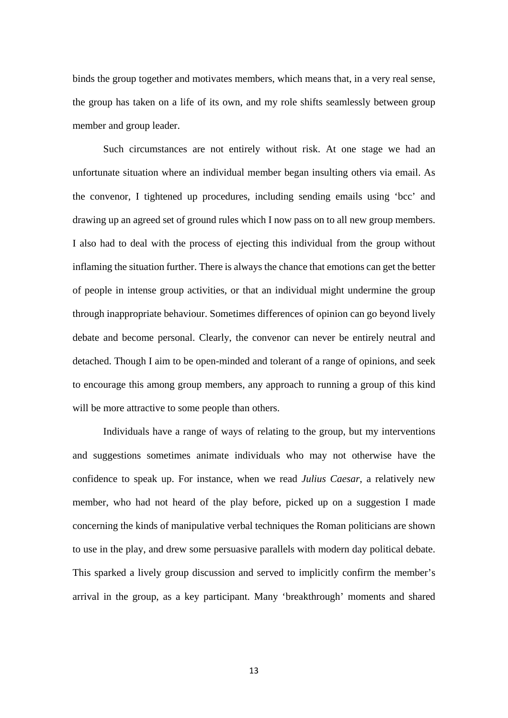binds the group together and motivates members, which means that, in a very real sense, the group has taken on a life of its own, and my role shifts seamlessly between group member and group leader.

Such circumstances are not entirely without risk. At one stage we had an unfortunate situation where an individual member began insulting others via email. As the convenor, I tightened up procedures, including sending emails using 'bcc' and drawing up an agreed set of ground rules which I now pass on to all new group members. I also had to deal with the process of ejecting this individual from the group without inflaming the situation further. There is always the chance that emotions can get the better of people in intense group activities, or that an individual might undermine the group through inappropriate behaviour. Sometimes differences of opinion can go beyond lively debate and become personal. Clearly, the convenor can never be entirely neutral and detached. Though I aim to be open-minded and tolerant of a range of opinions, and seek to encourage this among group members, any approach to running a group of this kind will be more attractive to some people than others.

Individuals have a range of ways of relating to the group, but my interventions and suggestions sometimes animate individuals who may not otherwise have the confidence to speak up. For instance, when we read *Julius Caesar*, a relatively new member, who had not heard of the play before, picked up on a suggestion I made concerning the kinds of manipulative verbal techniques the Roman politicians are shown to use in the play, and drew some persuasive parallels with modern day political debate. This sparked a lively group discussion and served to implicitly confirm the member's arrival in the group, as a key participant. Many 'breakthrough' moments and shared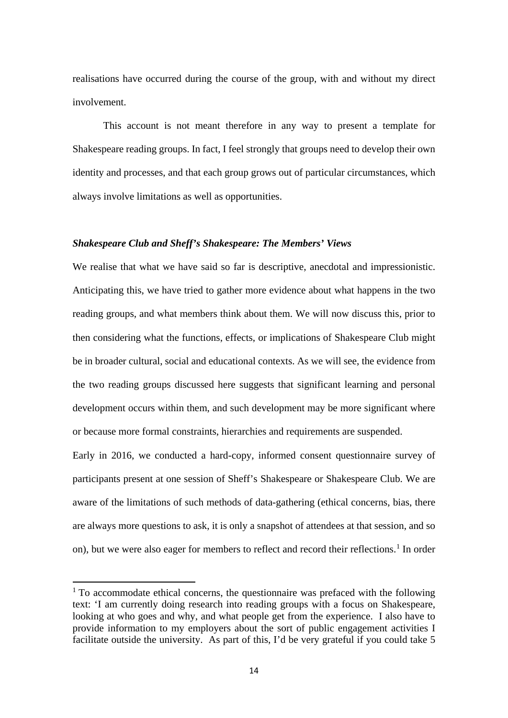realisations have occurred during the course of the group, with and without my direct involvement.

This account is not meant therefore in any way to present a template for Shakespeare reading groups. In fact, I feel strongly that groups need to develop their own identity and processes, and that each group grows out of particular circumstances, which always involve limitations as well as opportunities.

# *Shakespeare Club and Sheff's Shakespeare: The Members' Views*

We realise that what we have said so far is descriptive, anecdotal and impressionistic. Anticipating this, we have tried to gather more evidence about what happens in the two reading groups, and what members think about them. We will now discuss this, prior to then considering what the functions, effects, or implications of Shakespeare Club might be in broader cultural, social and educational contexts. As we will see, the evidence from the two reading groups discussed here suggests that significant learning and personal development occurs within them, and such development may be more significant where or because more formal constraints, hierarchies and requirements are suspended.

Early in 2016, we conducted a hard-copy, informed consent questionnaire survey of participants present at one session of Sheff's Shakespeare or Shakespeare Club. We are aware of the limitations of such methods of data-gathering (ethical concerns, bias, there are always more questions to ask, it is only a snapshot of attendees at that session, and so on), but we were also eager for members to reflect and record their reflections.<sup>[1](#page-13-0)</sup> In order

<u>.</u>

<span id="page-13-0"></span> $1$  To accommodate ethical concerns, the questionnaire was prefaced with the following text: 'I am currently doing research into reading groups with a focus on Shakespeare, looking at who goes and why, and what people get from the experience. I also have to provide information to my employers about the sort of public engagement activities I facilitate outside the university. As part of this, I'd be very grateful if you could take 5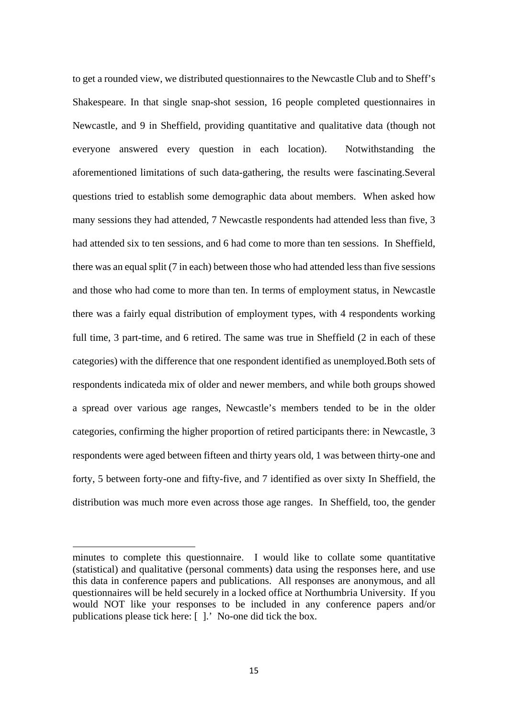to get a rounded view, we distributed questionnaires to the Newcastle Club and to Sheff's Shakespeare. In that single snap-shot session, 16 people completed questionnaires in Newcastle, and 9 in Sheffield, providing quantitative and qualitative data (though not everyone answered every question in each location). Notwithstanding the aforementioned limitations of such data-gathering, the results were fascinating.Several questions tried to establish some demographic data about members. When asked how many sessions they had attended, 7 Newcastle respondents had attended less than five, 3 had attended six to ten sessions, and 6 had come to more than ten sessions. In Sheffield, there was an equal split (7 in each) between those who had attended less than five sessions and those who had come to more than ten. In terms of employment status, in Newcastle there was a fairly equal distribution of employment types, with 4 respondents working full time, 3 part-time, and 6 retired. The same was true in Sheffield (2 in each of these categories) with the difference that one respondent identified as unemployed.Both sets of respondents indicateda mix of older and newer members, and while both groups showed a spread over various age ranges, Newcastle's members tended to be in the older categories, confirming the higher proportion of retired participants there: in Newcastle, 3 respondents were aged between fifteen and thirty years old, 1 was between thirty-one and forty, 5 between forty-one and fifty-five, and 7 identified as over sixty In Sheffield, the distribution was much more even across those age ranges. In Sheffield, too, the gender

**.** 

minutes to complete this questionnaire. I would like to collate some quantitative (statistical) and qualitative (personal comments) data using the responses here, and use this data in conference papers and publications. All responses are anonymous, and all questionnaires will be held securely in a locked office at Northumbria University. If you would NOT like your responses to be included in any conference papers and/or publications please tick here: [ ].' No-one did tick the box.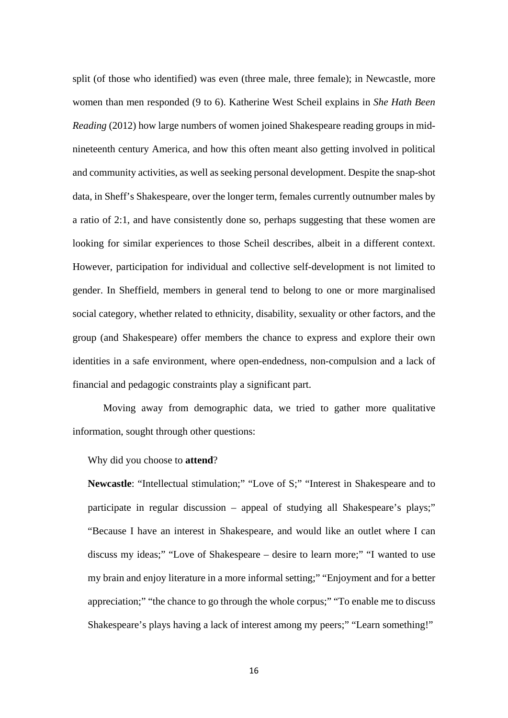split (of those who identified) was even (three male, three female); in Newcastle, more women than men responded (9 to 6). Katherine West Scheil explains in *She Hath Been Reading* (2012) how large numbers of women joined Shakespeare reading groups in midnineteenth century America, and how this often meant also getting involved in political and community activities, as well as seeking personal development. Despite the snap-shot data, in Sheff's Shakespeare, over the longer term, females currently outnumber males by a ratio of 2:1, and have consistently done so, perhaps suggesting that these women are looking for similar experiences to those Scheil describes, albeit in a different context. However, participation for individual and collective self-development is not limited to gender. In Sheffield, members in general tend to belong to one or more marginalised social category, whether related to ethnicity, disability, sexuality or other factors, and the group (and Shakespeare) offer members the chance to express and explore their own identities in a safe environment, where open-endedness, non-compulsion and a lack of financial and pedagogic constraints play a significant part.

Moving away from demographic data, we tried to gather more qualitative information, sought through other questions:

Why did you choose to **attend**?

**Newcastle**: "Intellectual stimulation;" "Love of S;" "Interest in Shakespeare and to participate in regular discussion – appeal of studying all Shakespeare's plays;" "Because I have an interest in Shakespeare, and would like an outlet where I can discuss my ideas;" "Love of Shakespeare – desire to learn more;" "I wanted to use my brain and enjoy literature in a more informal setting;" "Enjoyment and for a better appreciation;" "the chance to go through the whole corpus;" "To enable me to discuss Shakespeare's plays having a lack of interest among my peers;" "Learn something!"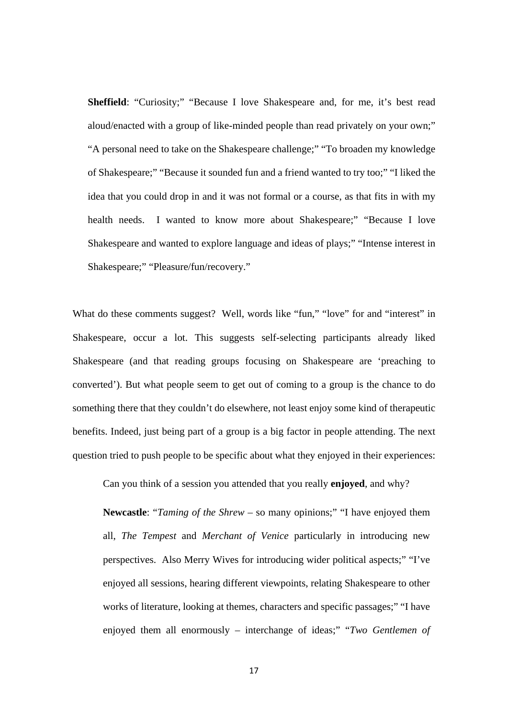**Sheffield**: "Curiosity;" "Because I love Shakespeare and, for me, it's best read aloud/enacted with a group of like-minded people than read privately on your own;" "A personal need to take on the Shakespeare challenge;" "To broaden my knowledge of Shakespeare;" "Because it sounded fun and a friend wanted to try too;" "I liked the idea that you could drop in and it was not formal or a course, as that fits in with my health needs. I wanted to know more about Shakespeare;" "Because I love Shakespeare and wanted to explore language and ideas of plays;" "Intense interest in Shakespeare;" "Pleasure/fun/recovery."

What do these comments suggest? Well, words like "fun," "love" for and "interest" in Shakespeare, occur a lot. This suggests self-selecting participants already liked Shakespeare (and that reading groups focusing on Shakespeare are 'preaching to converted'). But what people seem to get out of coming to a group is the chance to do something there that they couldn't do elsewhere, not least enjoy some kind of therapeutic benefits. Indeed, just being part of a group is a big factor in people attending. The next question tried to push people to be specific about what they enjoyed in their experiences:

Can you think of a session you attended that you really **enjoyed**, and why?

**Newcastle**: "*Taming of the Shrew* – so many opinions;" "I have enjoyed them all, *The Tempest* and *Merchant of Venice* particularly in introducing new perspectives. Also Merry Wives for introducing wider political aspects;" "I've enjoyed all sessions, hearing different viewpoints, relating Shakespeare to other works of literature, looking at themes, characters and specific passages;" "I have enjoyed them all enormously – interchange of ideas;" "*Two Gentlemen of*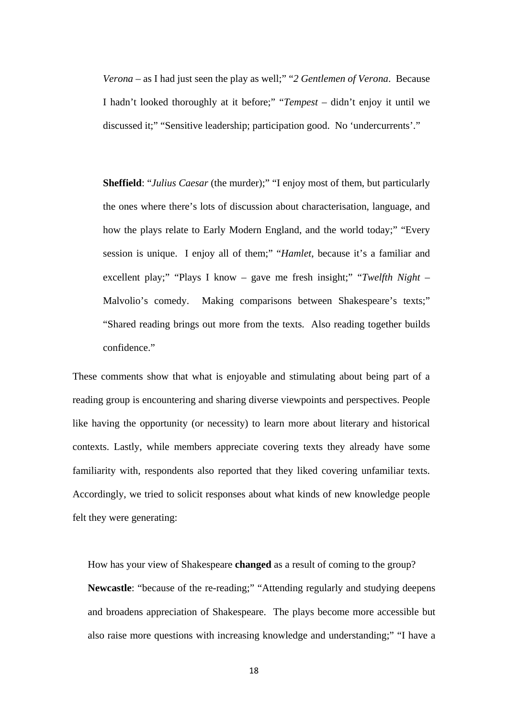*Verona* – as I had just seen the play as well;" "*2 Gentlemen of Verona*. Because I hadn't looked thoroughly at it before;" "*Tempest* – didn't enjoy it until we discussed it;" "Sensitive leadership; participation good. No 'undercurrents'."

**Sheffield**: "*Julius Caesar* (the murder);" "I enjoy most of them, but particularly the ones where there's lots of discussion about characterisation, language, and how the plays relate to Early Modern England, and the world today;" "Every session is unique. I enjoy all of them;" "*Hamlet*, because it's a familiar and excellent play;" "Plays I know – gave me fresh insight;" "*Twelfth Night* – Malvolio's comedy. Making comparisons between Shakespeare's texts;" "Shared reading brings out more from the texts. Also reading together builds confidence."

These comments show that what is enjoyable and stimulating about being part of a reading group is encountering and sharing diverse viewpoints and perspectives. People like having the opportunity (or necessity) to learn more about literary and historical contexts. Lastly, while members appreciate covering texts they already have some familiarity with, respondents also reported that they liked covering unfamiliar texts. Accordingly, we tried to solicit responses about what kinds of new knowledge people felt they were generating:

How has your view of Shakespeare **changed** as a result of coming to the group? **Newcastle**: "because of the re-reading;" "Attending regularly and studying deepens and broadens appreciation of Shakespeare. The plays become more accessible but also raise more questions with increasing knowledge and understanding;" "I have a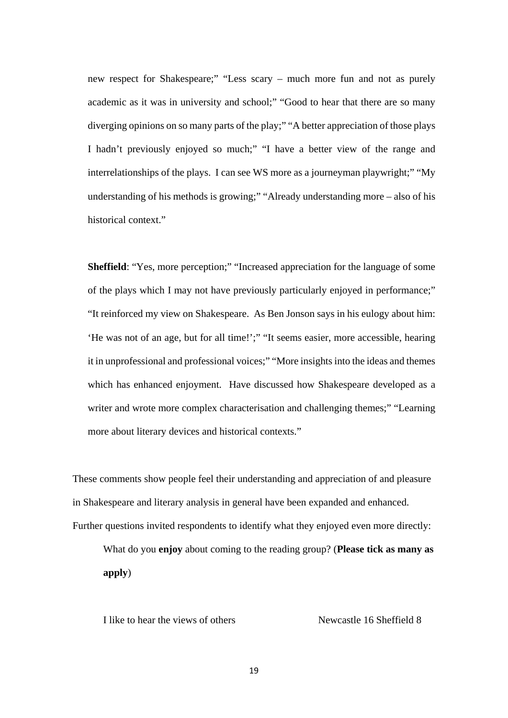new respect for Shakespeare;" "Less scary – much more fun and not as purely academic as it was in university and school;" "Good to hear that there are so many diverging opinions on so many parts of the play;" "A better appreciation of those plays I hadn't previously enjoyed so much;" "I have a better view of the range and interrelationships of the plays. I can see WS more as a journeyman playwright;" "My understanding of his methods is growing;" "Already understanding more – also of his historical context."

**Sheffield:** "Yes, more perception;" "Increased appreciation for the language of some of the plays which I may not have previously particularly enjoyed in performance;" "It reinforced my view on Shakespeare. As Ben Jonson says in his eulogy about him: 'He was not of an age, but for all time!';" "It seems easier, more accessible, hearing it in unprofessional and professional voices;" "More insights into the ideas and themes which has enhanced enjoyment. Have discussed how Shakespeare developed as a writer and wrote more complex characterisation and challenging themes;" "Learning more about literary devices and historical contexts."

These comments show people feel their understanding and appreciation of and pleasure in Shakespeare and literary analysis in general have been expanded and enhanced. Further questions invited respondents to identify what they enjoyed even more directly:

What do you **enjoy** about coming to the reading group? (**Please tick as many as apply**)

I like to hear the views of others Newcastle 16 Sheffield 8

19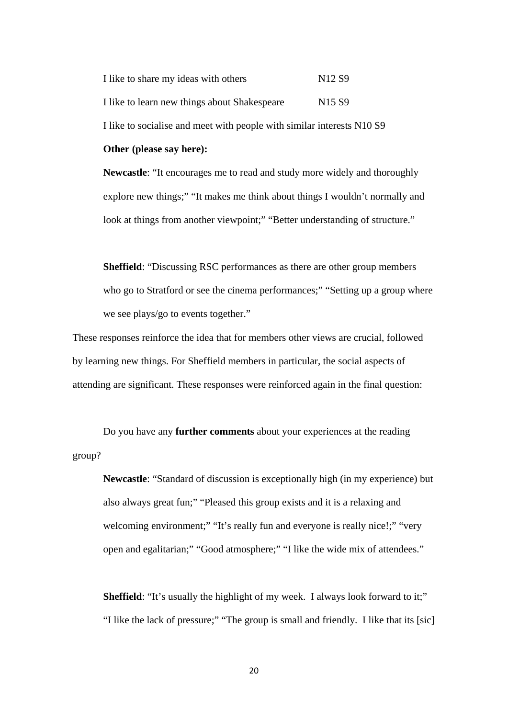I like to share my ideas with others N12 S9 I like to learn new things about Shakespeare N15 S9 I like to socialise and meet with people with similar interests N10 S9 **Other (please say here):**

**Newcastle**: "It encourages me to read and study more widely and thoroughly explore new things;" "It makes me think about things I wouldn't normally and look at things from another viewpoint;" "Better understanding of structure."

**Sheffield**: "Discussing RSC performances as there are other group members who go to Stratford or see the cinema performances;" "Setting up a group where we see plays/go to events together."

These responses reinforce the idea that for members other views are crucial, followed by learning new things. For Sheffield members in particular, the social aspects of attending are significant. These responses were reinforced again in the final question:

Do you have any **further comments** about your experiences at the reading group?

**Newcastle**: "Standard of discussion is exceptionally high (in my experience) but also always great fun;" "Pleased this group exists and it is a relaxing and welcoming environment;" "It's really fun and everyone is really nice!;" "very open and egalitarian;" "Good atmosphere;" "I like the wide mix of attendees."

**Sheffield**: "It's usually the highlight of my week. I always look forward to it;" "I like the lack of pressure;" "The group is small and friendly. I like that its [sic]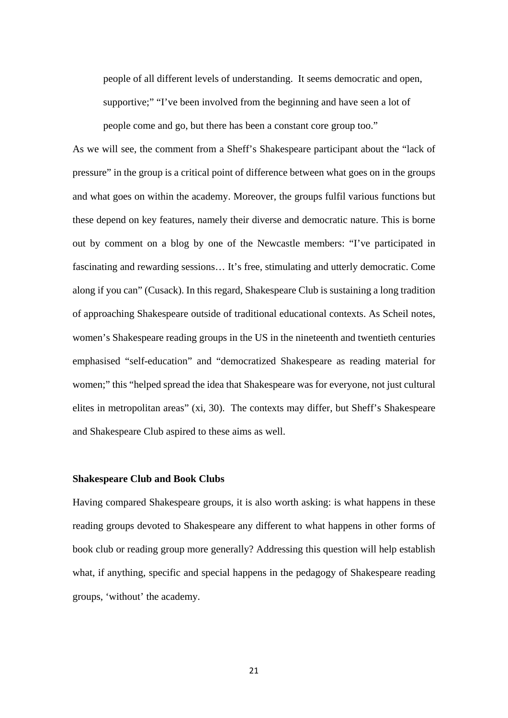people of all different levels of understanding. It seems democratic and open, supportive;" "I've been involved from the beginning and have seen a lot of people come and go, but there has been a constant core group too."

As we will see, the comment from a Sheff's Shakespeare participant about the "lack of pressure" in the group is a critical point of difference between what goes on in the groups and what goes on within the academy. Moreover, the groups fulfil various functions but these depend on key features, namely their diverse and democratic nature. This is borne out by comment on a blog by one of the Newcastle members: "I've participated in fascinating and rewarding sessions… It's free, stimulating and utterly democratic. Come along if you can" (Cusack). In this regard, Shakespeare Club is sustaining a long tradition of approaching Shakespeare outside of traditional educational contexts. As Scheil notes, women's Shakespeare reading groups in the US in the nineteenth and twentieth centuries emphasised "self-education" and "democratized Shakespeare as reading material for women;" this "helped spread the idea that Shakespeare was for everyone, not just cultural elites in metropolitan areas" (xi, 30). The contexts may differ, but Sheff's Shakespeare and Shakespeare Club aspired to these aims as well.

#### **Shakespeare Club and Book Clubs**

Having compared Shakespeare groups, it is also worth asking: is what happens in these reading groups devoted to Shakespeare any different to what happens in other forms of book club or reading group more generally? Addressing this question will help establish what, if anything, specific and special happens in the pedagogy of Shakespeare reading groups, 'without' the academy.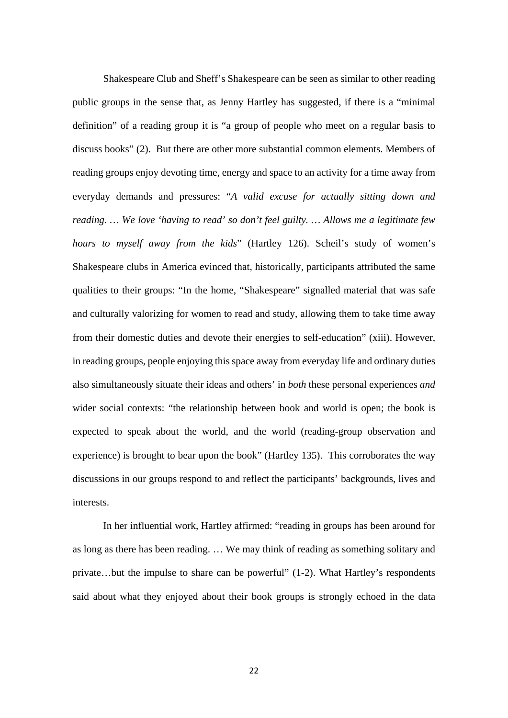Shakespeare Club and Sheff's Shakespeare can be seen as similar to other reading public groups in the sense that, as Jenny Hartley has suggested, if there is a "minimal definition" of a reading group it is "a group of people who meet on a regular basis to discuss books" (2). But there are other more substantial common elements. Members of reading groups enjoy devoting time, energy and space to an activity for a time away from everyday demands and pressures: "*A valid excuse for actually sitting down and reading. … We love 'having to read' so don't feel guilty. … Allows me a legitimate few hours to myself away from the kids*" (Hartley 126). Scheil's study of women's Shakespeare clubs in America evinced that, historically, participants attributed the same qualities to their groups: "In the home, "Shakespeare" signalled material that was safe and culturally valorizing for women to read and study, allowing them to take time away from their domestic duties and devote their energies to self-education" (xiii). However, in reading groups, people enjoying this space away from everyday life and ordinary duties also simultaneously situate their ideas and others' in *both* these personal experiences *and* wider social contexts: "the relationship between book and world is open; the book is expected to speak about the world, and the world (reading-group observation and experience) is brought to bear upon the book" (Hartley 135). This corroborates the way discussions in our groups respond to and reflect the participants' backgrounds, lives and interests.

In her influential work, Hartley affirmed: "reading in groups has been around for as long as there has been reading. … We may think of reading as something solitary and private…but the impulse to share can be powerful" (1-2). What Hartley's respondents said about what they enjoyed about their book groups is strongly echoed in the data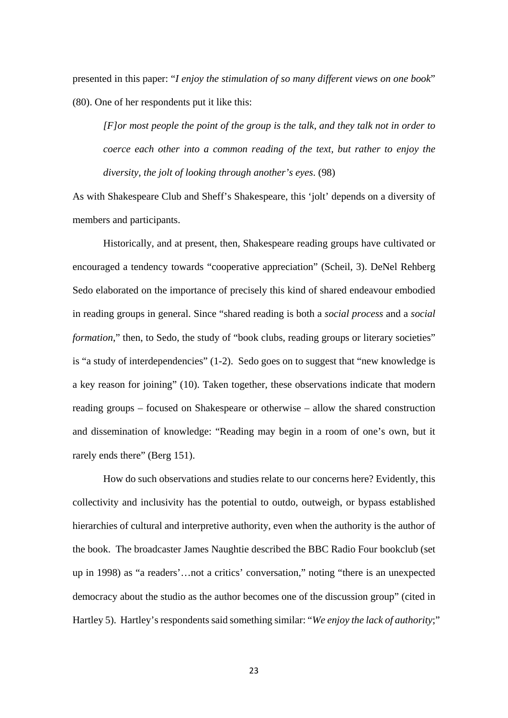presented in this paper: "*I enjoy the stimulation of so many different views on one book*" (80). One of her respondents put it like this:

*[F]or most people the point of the group is the talk, and they talk not in order to coerce each other into a common reading of the text, but rather to enjoy the diversity, the jolt of looking through another's eyes*. (98)

As with Shakespeare Club and Sheff's Shakespeare, this 'jolt' depends on a diversity of members and participants.

Historically, and at present, then, Shakespeare reading groups have cultivated or encouraged a tendency towards "cooperative appreciation" (Scheil, 3). DeNel Rehberg Sedo elaborated on the importance of precisely this kind of shared endeavour embodied in reading groups in general. Since "shared reading is both a *social process* and a *social formation*," then, to Sedo, the study of "book clubs, reading groups or literary societies" is "a study of interdependencies" (1-2). Sedo goes on to suggest that "new knowledge is a key reason for joining" (10). Taken together, these observations indicate that modern reading groups – focused on Shakespeare or otherwise – allow the shared construction and dissemination of knowledge: "Reading may begin in a room of one's own, but it rarely ends there" (Berg 151).

How do such observations and studies relate to our concerns here? Evidently, this collectivity and inclusivity has the potential to outdo, outweigh, or bypass established hierarchies of cultural and interpretive authority, even when the authority is the author of the book. The broadcaster James Naughtie described the BBC Radio Four bookclub (set up in 1998) as "a readers'…not a critics' conversation," noting "there is an unexpected democracy about the studio as the author becomes one of the discussion group" (cited in Hartley 5). Hartley's respondents said something similar: "*We enjoy the lack of authority*;"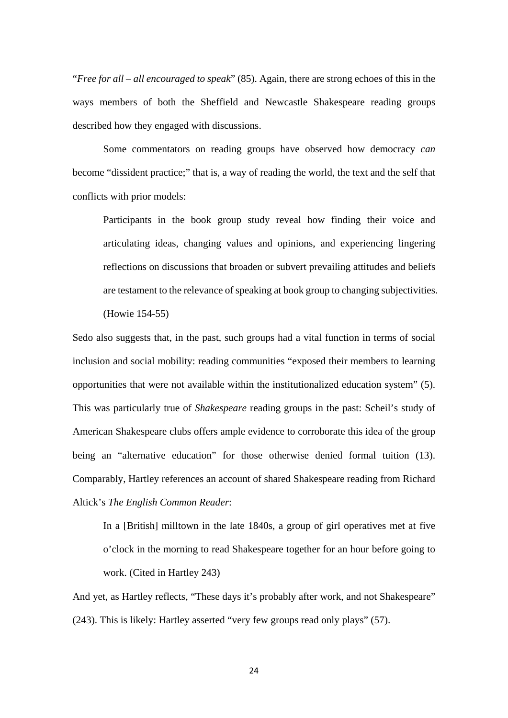"*Free for all – all encouraged to speak*" (85). Again, there are strong echoes of this in the ways members of both the Sheffield and Newcastle Shakespeare reading groups described how they engaged with discussions.

Some commentators on reading groups have observed how democracy *can* become "dissident practice;" that is, a way of reading the world, the text and the self that conflicts with prior models:

Participants in the book group study reveal how finding their voice and articulating ideas, changing values and opinions, and experiencing lingering reflections on discussions that broaden or subvert prevailing attitudes and beliefs are testament to the relevance of speaking at book group to changing subjectivities. (Howie 154-55)

Sedo also suggests that, in the past, such groups had a vital function in terms of social inclusion and social mobility: reading communities "exposed their members to learning opportunities that were not available within the institutionalized education system" (5). This was particularly true of *Shakespeare* reading groups in the past: Scheil's study of American Shakespeare clubs offers ample evidence to corroborate this idea of the group being an "alternative education" for those otherwise denied formal tuition (13). Comparably, Hartley references an account of shared Shakespeare reading from Richard Altick's *The English Common Reader*:

In a [British] milltown in the late 1840s, a group of girl operatives met at five o'clock in the morning to read Shakespeare together for an hour before going to work. (Cited in Hartley 243)

And yet, as Hartley reflects, "These days it's probably after work, and not Shakespeare" (243). This is likely: Hartley asserted "very few groups read only plays" (57).

24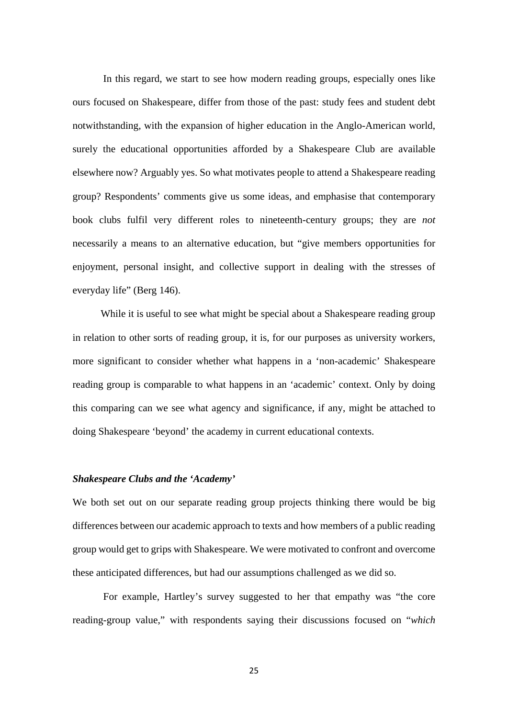In this regard, we start to see how modern reading groups, especially ones like ours focused on Shakespeare, differ from those of the past: study fees and student debt notwithstanding, with the expansion of higher education in the Anglo-American world, surely the educational opportunities afforded by a Shakespeare Club are available elsewhere now? Arguably yes. So what motivates people to attend a Shakespeare reading group? Respondents' comments give us some ideas, and emphasise that contemporary book clubs fulfil very different roles to nineteenth-century groups; they are *not* necessarily a means to an alternative education, but "give members opportunities for enjoyment, personal insight, and collective support in dealing with the stresses of everyday life" (Berg 146).

While it is useful to see what might be special about a Shakespeare reading group in relation to other sorts of reading group, it is, for our purposes as university workers, more significant to consider whether what happens in a 'non-academic' Shakespeare reading group is comparable to what happens in an 'academic' context. Only by doing this comparing can we see what agency and significance, if any, might be attached to doing Shakespeare 'beyond' the academy in current educational contexts.

#### *Shakespeare Clubs and the 'Academy'*

We both set out on our separate reading group projects thinking there would be big differences between our academic approach to texts and how members of a public reading group would get to grips with Shakespeare. We were motivated to confront and overcome these anticipated differences, but had our assumptions challenged as we did so.

For example, Hartley's survey suggested to her that empathy was "the core reading-group value," with respondents saying their discussions focused on "*which*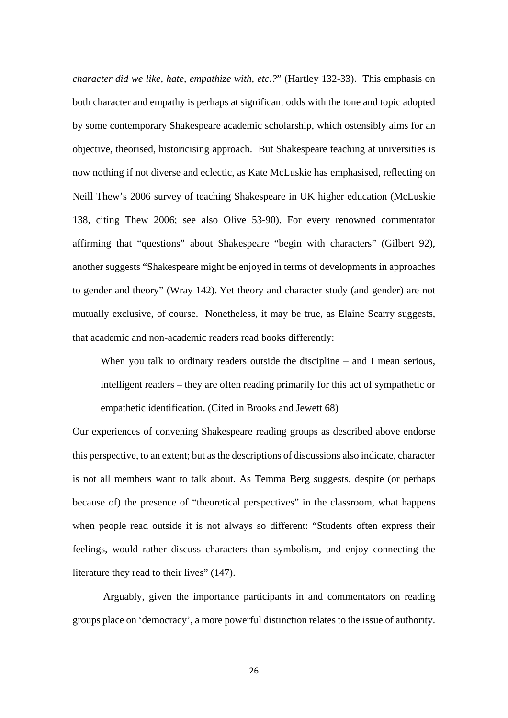*character did we like, hate, empathize with, etc.?*" (Hartley 132-33). This emphasis on both character and empathy is perhaps at significant odds with the tone and topic adopted by some contemporary Shakespeare academic scholarship, which ostensibly aims for an objective, theorised, historicising approach. But Shakespeare teaching at universities is now nothing if not diverse and eclectic, as Kate McLuskie has emphasised, reflecting on Neill Thew's 2006 survey of teaching Shakespeare in UK higher education (McLuskie 138, citing Thew 2006; see also Olive 53-90). For every renowned commentator affirming that "questions" about Shakespeare "begin with characters" (Gilbert 92), another suggests "Shakespeare might be enjoyed in terms of developments in approaches to gender and theory" (Wray 142). Yet theory and character study (and gender) are not mutually exclusive, of course. Nonetheless, it may be true, as Elaine Scarry suggests, that academic and non-academic readers read books differently:

When you talk to ordinary readers outside the discipline – and I mean serious, intelligent readers – they are often reading primarily for this act of sympathetic or empathetic identification. (Cited in Brooks and Jewett 68)

Our experiences of convening Shakespeare reading groups as described above endorse this perspective, to an extent; but as the descriptions of discussions also indicate, character is not all members want to talk about. As Temma Berg suggests, despite (or perhaps because of) the presence of "theoretical perspectives" in the classroom, what happens when people read outside it is not always so different: "Students often express their feelings, would rather discuss characters than symbolism, and enjoy connecting the literature they read to their lives" (147).

Arguably, given the importance participants in and commentators on reading groups place on 'democracy', a more powerful distinction relates to the issue of authority.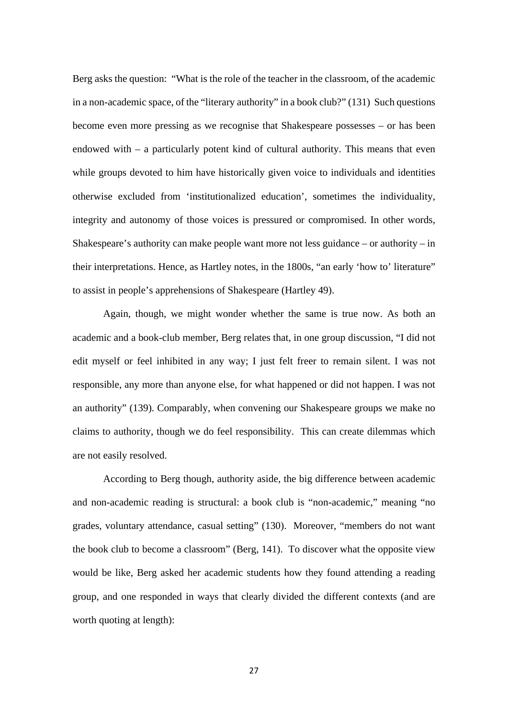Berg asks the question: "What is the role of the teacher in the classroom, of the academic in a non-academic space, of the "literary authority" in a book club?" (131) Such questions become even more pressing as we recognise that Shakespeare possesses – or has been endowed with – a particularly potent kind of cultural authority. This means that even while groups devoted to him have historically given voice to individuals and identities otherwise excluded from 'institutionalized education', sometimes the individuality, integrity and autonomy of those voices is pressured or compromised. In other words, Shakespeare's authority can make people want more not less guidance – or authority – in their interpretations. Hence, as Hartley notes, in the 1800s, "an early 'how to' literature" to assist in people's apprehensions of Shakespeare (Hartley 49).

Again, though, we might wonder whether the same is true now. As both an academic and a book-club member, Berg relates that, in one group discussion, "I did not edit myself or feel inhibited in any way; I just felt freer to remain silent. I was not responsible, any more than anyone else, for what happened or did not happen. I was not an authority" (139). Comparably, when convening our Shakespeare groups we make no claims to authority, though we do feel responsibility. This can create dilemmas which are not easily resolved.

According to Berg though, authority aside, the big difference between academic and non-academic reading is structural: a book club is "non-academic," meaning "no grades, voluntary attendance, casual setting" (130). Moreover, "members do not want the book club to become a classroom" (Berg, 141). To discover what the opposite view would be like, Berg asked her academic students how they found attending a reading group, and one responded in ways that clearly divided the different contexts (and are worth quoting at length):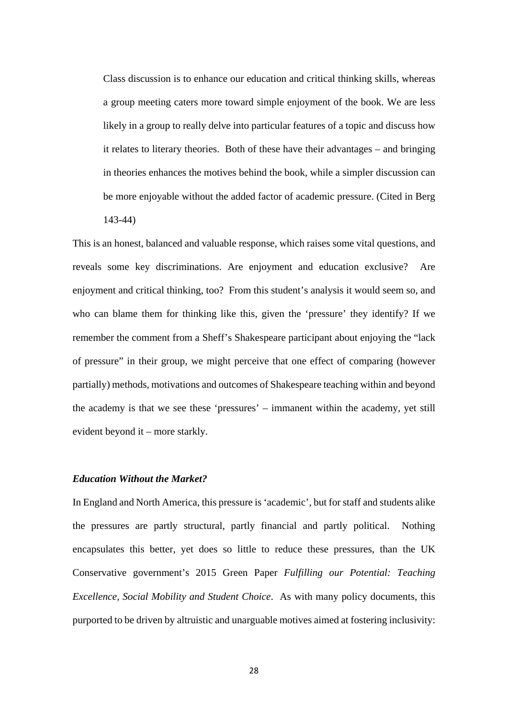Class discussion is to enhance our education and critical thinking skills, whereas a group meeting caters more toward simple enjoyment of the book. We are less likely in a group to really delve into particular features of a topic and discuss how it relates to literary theories. Both of these have their advantages – and bringing in theories enhances the motives behind the book, while a simpler discussion can be more enjoyable without the added factor of academic pressure. (Cited in Berg 143-44)

This is an honest, balanced and valuable response, which raises some vital questions, and reveals some key discriminations. Are enjoyment and education exclusive? Are enjoyment and critical thinking, too? From this student's analysis it would seem so, and who can blame them for thinking like this, given the 'pressure' they identify? If we remember the comment from a Sheff's Shakespeare participant about enjoying the "lack of pressure" in their group, we might perceive that one effect of comparing (however partially) methods, motivations and outcomes of Shakespeare teaching within and beyond the academy is that we see these 'pressures' – immanent within the academy, yet still evident beyond it – more starkly.

## *Education Without the Market?*

In England and North America, this pressure is 'academic', but for staff and students alike the pressures are partly structural, partly financial and partly political. Nothing encapsulates this better, yet does so little to reduce these pressures, than the UK Conservative government's 2015 Green Paper *Fulfilling our Potential: Teaching Excellence, Social Mobility and Student Choice*. As with many policy documents, this purported to be driven by altruistic and unarguable motives aimed at fostering inclusivity: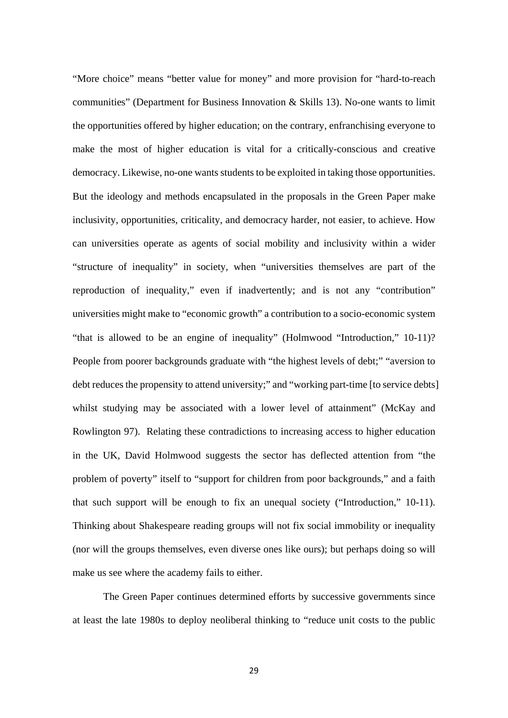"More choice" means "better value for money" and more provision for "hard-to-reach communities" (Department for Business Innovation & Skills 13). No-one wants to limit the opportunities offered by higher education; on the contrary, enfranchising everyone to make the most of higher education is vital for a critically-conscious and creative democracy. Likewise, no-one wants students to be exploited in taking those opportunities. But the ideology and methods encapsulated in the proposals in the Green Paper make inclusivity, opportunities, criticality, and democracy harder, not easier, to achieve. How can universities operate as agents of social mobility and inclusivity within a wider "structure of inequality" in society, when "universities themselves are part of the reproduction of inequality," even if inadvertently; and is not any "contribution" universities might make to "economic growth" a contribution to a socio-economic system "that is allowed to be an engine of inequality" (Holmwood "Introduction," 10-11)? People from poorer backgrounds graduate with "the highest levels of debt;" "aversion to debt reduces the propensity to attend university;" and "working part-time [to service debts] whilst studying may be associated with a lower level of attainment" (McKay and Rowlington 97). Relating these contradictions to increasing access to higher education in the UK, David Holmwood suggests the sector has deflected attention from "the problem of poverty" itself to "support for children from poor backgrounds," and a faith that such support will be enough to fix an unequal society ("Introduction," 10-11). Thinking about Shakespeare reading groups will not fix social immobility or inequality (nor will the groups themselves, even diverse ones like ours); but perhaps doing so will make us see where the academy fails to either.

The Green Paper continues determined efforts by successive governments since at least the late 1980s to deploy neoliberal thinking to "reduce unit costs to the public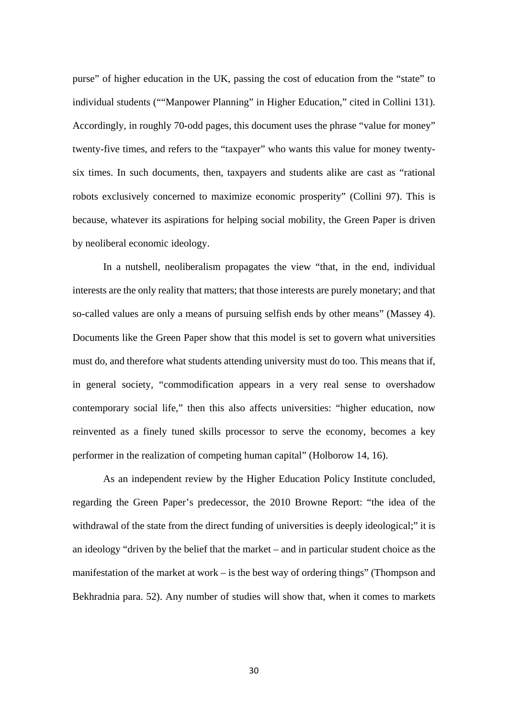purse" of higher education in the UK, passing the cost of education from the "state" to individual students (""Manpower Planning" in Higher Education," cited in Collini 131). Accordingly, in roughly 70-odd pages, this document uses the phrase "value for money" twenty-five times, and refers to the "taxpayer" who wants this value for money twentysix times. In such documents, then, taxpayers and students alike are cast as "rational robots exclusively concerned to maximize economic prosperity" (Collini 97). This is because, whatever its aspirations for helping social mobility, the Green Paper is driven by neoliberal economic ideology.

In a nutshell, neoliberalism propagates the view "that, in the end, individual interests are the only reality that matters; that those interests are purely monetary; and that so-called values are only a means of pursuing selfish ends by other means" (Massey 4). Documents like the Green Paper show that this model is set to govern what universities must do, and therefore what students attending university must do too. This means that if, in general society, "commodification appears in a very real sense to overshadow contemporary social life," then this also affects universities: "higher education, now reinvented as a finely tuned skills processor to serve the economy, becomes a key performer in the realization of competing human capital" (Holborow 14, 16).

As an independent review by the Higher Education Policy Institute concluded, regarding the Green Paper's predecessor, the 2010 Browne Report: "the idea of the withdrawal of the state from the direct funding of universities is deeply ideological;" it is an ideology "driven by the belief that the market – and in particular student choice as the manifestation of the market at work – is the best way of ordering things" (Thompson and Bekhradnia para. 52). Any number of studies will show that, when it comes to markets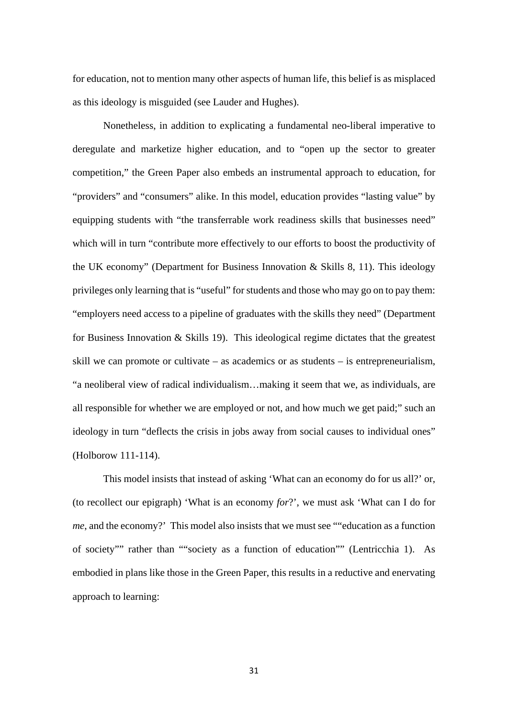for education, not to mention many other aspects of human life, this belief is as misplaced as this ideology is misguided (see Lauder and Hughes).

Nonetheless, in addition to explicating a fundamental neo-liberal imperative to deregulate and marketize higher education, and to "open up the sector to greater competition," the Green Paper also embeds an instrumental approach to education, for "providers" and "consumers" alike. In this model, education provides "lasting value" by equipping students with "the transferrable work readiness skills that businesses need" which will in turn "contribute more effectively to our efforts to boost the productivity of the UK economy" (Department for Business Innovation & Skills 8, 11). This ideology privileges only learning that is "useful" for students and those who may go on to pay them: "employers need access to a pipeline of graduates with the skills they need" (Department for Business Innovation  $\&$  Skills 19). This ideological regime dictates that the greatest skill we can promote or cultivate – as academics or as students – is entrepreneurialism, "a neoliberal view of radical individualism…making it seem that we, as individuals, are all responsible for whether we are employed or not, and how much we get paid;" such an ideology in turn "deflects the crisis in jobs away from social causes to individual ones" (Holborow 111-114).

This model insists that instead of asking 'What can an economy do for us all?' or, (to recollect our epigraph) 'What is an economy *for*?', we must ask 'What can I do for *me*, and the economy?' This model also insists that we must see ""education as a function of society"" rather than ""society as a function of education"" (Lentricchia 1). As embodied in plans like those in the Green Paper, this results in a reductive and enervating approach to learning: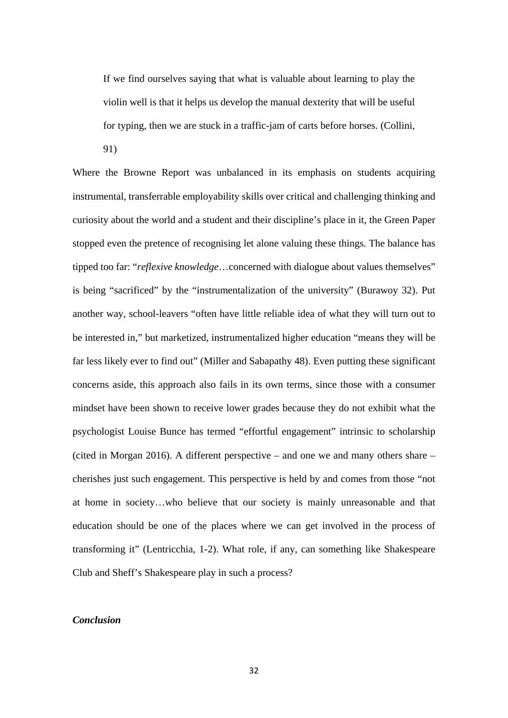If we find ourselves saying that what is valuable about learning to play the violin well is that it helps us develop the manual dexterity that will be useful for typing, then we are stuck in a traffic-jam of carts before horses. (Collini,

91)

Where the Browne Report was unbalanced in its emphasis on students acquiring instrumental, transferrable employability skills over critical and challenging thinking and curiosity about the world and a student and their discipline's place in it, the Green Paper stopped even the pretence of recognising let alone valuing these things. The balance has tipped too far: "*reflexive knowledge*…concerned with dialogue about values themselves" is being "sacrificed" by the "instrumentalization of the university" (Burawoy 32). Put another way, school-leavers "often have little reliable idea of what they will turn out to be interested in," but marketized, instrumentalized higher education "means they will be far less likely ever to find out" (Miller and Sabapathy 48). Even putting these significant concerns aside, this approach also fails in its own terms, since those with a consumer mindset have been shown to receive lower grades because they do not exhibit what the psychologist Louise Bunce has termed "effortful engagement" intrinsic to scholarship (cited in Morgan 2016). A different perspective – and one we and many others share – cherishes just such engagement. This perspective is held by and comes from those "not at home in society…who believe that our society is mainly unreasonable and that education should be one of the places where we can get involved in the process of transforming it" (Lentricchia, 1-2). What role, if any, can something like Shakespeare Club and Sheff's Shakespeare play in such a process?

## *Conclusion*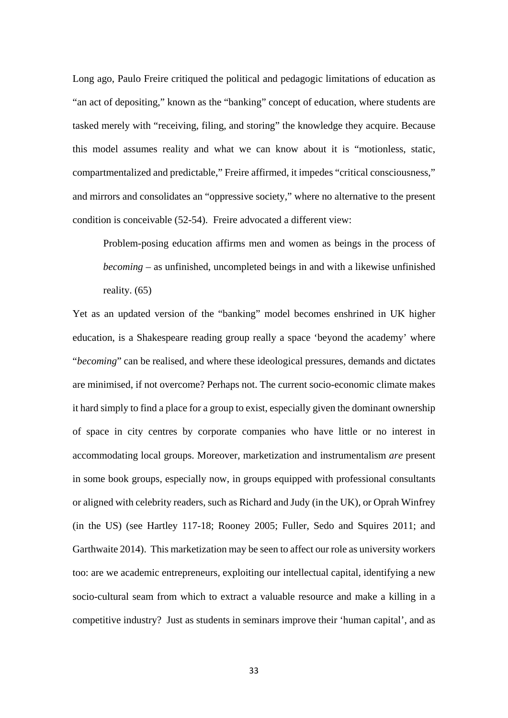Long ago, Paulo Freire critiqued the political and pedagogic limitations of education as "an act of depositing," known as the "banking" concept of education, where students are tasked merely with "receiving, filing, and storing" the knowledge they acquire. Because this model assumes reality and what we can know about it is "motionless, static, compartmentalized and predictable," Freire affirmed, it impedes "critical consciousness," and mirrors and consolidates an "oppressive society," where no alternative to the present condition is conceivable (52-54). Freire advocated a different view:

Problem-posing education affirms men and women as beings in the process of *becoming* – as unfinished, uncompleted beings in and with a likewise unfinished reality. (65)

Yet as an updated version of the "banking" model becomes enshrined in UK higher education, is a Shakespeare reading group really a space 'beyond the academy' where "*becoming*" can be realised, and where these ideological pressures, demands and dictates are minimised, if not overcome? Perhaps not. The current socio-economic climate makes it hard simply to find a place for a group to exist, especially given the dominant ownership of space in city centres by corporate companies who have little or no interest in accommodating local groups. Moreover, marketization and instrumentalism *are* present in some book groups, especially now, in groups equipped with professional consultants or aligned with celebrity readers, such as Richard and Judy (in the UK), or Oprah Winfrey (in the US) (see Hartley 117-18; Rooney 2005; Fuller, Sedo and Squires 2011; and Garthwaite 2014). This marketization may be seen to affect our role as university workers too: are we academic entrepreneurs, exploiting our intellectual capital, identifying a new socio-cultural seam from which to extract a valuable resource and make a killing in a competitive industry? Just as students in seminars improve their 'human capital', and as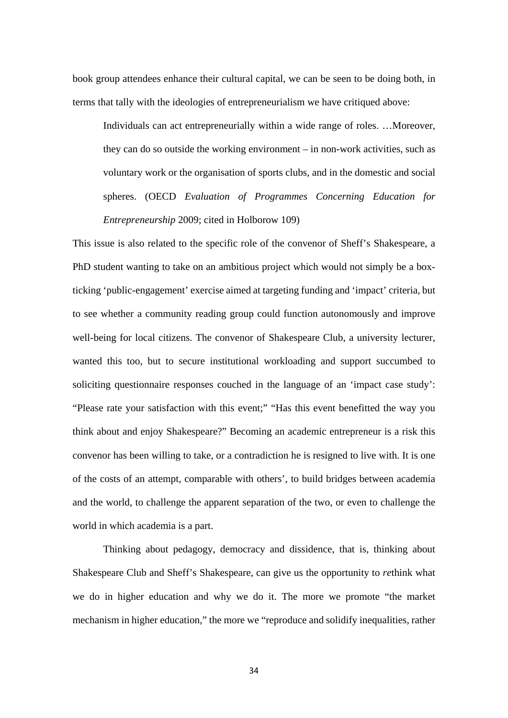book group attendees enhance their cultural capital, we can be seen to be doing both, in terms that tally with the ideologies of entrepreneurialism we have critiqued above:

Individuals can act entrepreneurially within a wide range of roles. …Moreover, they can do so outside the working environment – in non-work activities, such as voluntary work or the organisation of sports clubs, and in the domestic and social spheres. (OECD *Evaluation of Programmes Concerning Education for Entrepreneurship* 2009; cited in Holborow 109)

This issue is also related to the specific role of the convenor of Sheff's Shakespeare, a PhD student wanting to take on an ambitious project which would not simply be a boxticking 'public-engagement' exercise aimed at targeting funding and 'impact' criteria, but to see whether a community reading group could function autonomously and improve well-being for local citizens. The convenor of Shakespeare Club, a university lecturer, wanted this too, but to secure institutional workloading and support succumbed to soliciting questionnaire responses couched in the language of an 'impact case study': "Please rate your satisfaction with this event;" "Has this event benefitted the way you think about and enjoy Shakespeare?" Becoming an academic entrepreneur is a risk this convenor has been willing to take, or a contradiction he is resigned to live with. It is one of the costs of an attempt, comparable with others', to build bridges between academia and the world, to challenge the apparent separation of the two, or even to challenge the world in which academia is a part.

Thinking about pedagogy, democracy and dissidence, that is, thinking about Shakespeare Club and Sheff's Shakespeare, can give us the opportunity to *re*think what we do in higher education and why we do it. The more we promote "the market mechanism in higher education," the more we "reproduce and solidify inequalities, rather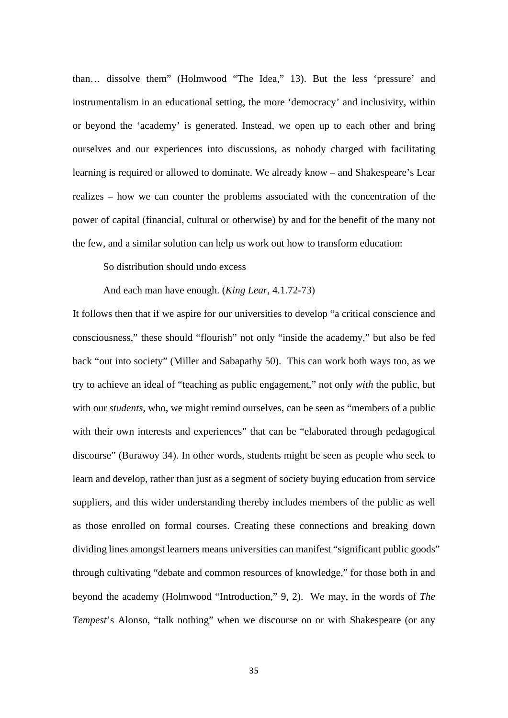than… dissolve them" (Holmwood "The Idea," 13). But the less 'pressure' and instrumentalism in an educational setting, the more 'democracy' and inclusivity, within or beyond the 'academy' is generated. Instead, we open up to each other and bring ourselves and our experiences into discussions, as nobody charged with facilitating learning is required or allowed to dominate. We already know – and Shakespeare's Lear realizes – how we can counter the problems associated with the concentration of the power of capital (financial, cultural or otherwise) by and for the benefit of the many not the few, and a similar solution can help us work out how to transform education:

So distribution should undo excess

And each man have enough. (*King Lear*, 4.1.72-73)

It follows then that if we aspire for our universities to develop "a critical conscience and consciousness," these should "flourish" not only "inside the academy," but also be fed back "out into society" (Miller and Sabapathy 50). This can work both ways too, as we try to achieve an ideal of "teaching as public engagement," not only *with* the public, but with our *students*, who, we might remind ourselves, can be seen as "members of a public with their own interests and experiences" that can be "elaborated through pedagogical discourse" (Burawoy 34). In other words, students might be seen as people who seek to learn and develop, rather than just as a segment of society buying education from service suppliers, and this wider understanding thereby includes members of the public as well as those enrolled on formal courses. Creating these connections and breaking down dividing lines amongst learners means universities can manifest "significant public goods" through cultivating "debate and common resources of knowledge," for those both in and beyond the academy (Holmwood "Introduction," 9, 2). We may, in the words of *The Tempest*'s Alonso, "talk nothing" when we discourse on or with Shakespeare (or any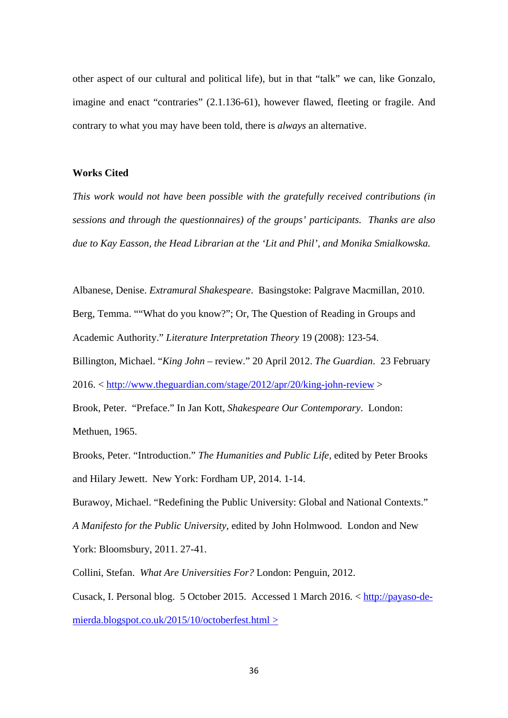other aspect of our cultural and political life), but in that "talk" we can, like Gonzalo, imagine and enact "contraries" (2.1.136-61), however flawed, fleeting or fragile. And contrary to what you may have been told, there is *always* an alternative.

# **Works Cited**

*This work would not have been possible with the gratefully received contributions (in sessions and through the questionnaires) of the groups' participants. Thanks are also due to Kay Easson, the Head Librarian at the 'Lit and Phil', and Monika Smialkowska.*

Albanese, Denise. *Extramural Shakespeare*. Basingstoke: Palgrave Macmillan, 2010. Berg, Temma. ""What do you know?"; Or, The Question of Reading in Groups and Academic Authority." *Literature Interpretation Theory* 19 (2008): 123-54.

Billington, Michael. "*King John* – review." 20 April 2012. *The Guardian*. 23 February

2016. <<http://www.theguardian.com/stage/2012/apr/20/king-john-review> >

Brook, Peter. "Preface." In Jan Kott, *Shakespeare Our Contemporary*. London: Methuen, 1965.

Brooks, Peter. "Introduction." *The Humanities and Public Life*, edited by Peter Brooks and Hilary Jewett. New York: Fordham UP, 2014. 1-14.

Burawoy, Michael. "Redefining the Public University: Global and National Contexts." *A Manifesto for the Public University*, edited by John Holmwood. London and New York: Bloomsbury, 2011. 27-41.

Collini, Stefan. *What Are Universities For?* London: Penguin, 2012.

Cusack, I. Personal blog. 5 October 2015. Accessed 1 March 2016. < [http://payaso-de](http://payaso-de-mierda.blogspot.co.uk/2015/10/octoberfest.html)[mierda.blogspot.co.uk/2015/10/octoberfest.html](http://payaso-de-mierda.blogspot.co.uk/2015/10/octoberfest.html) >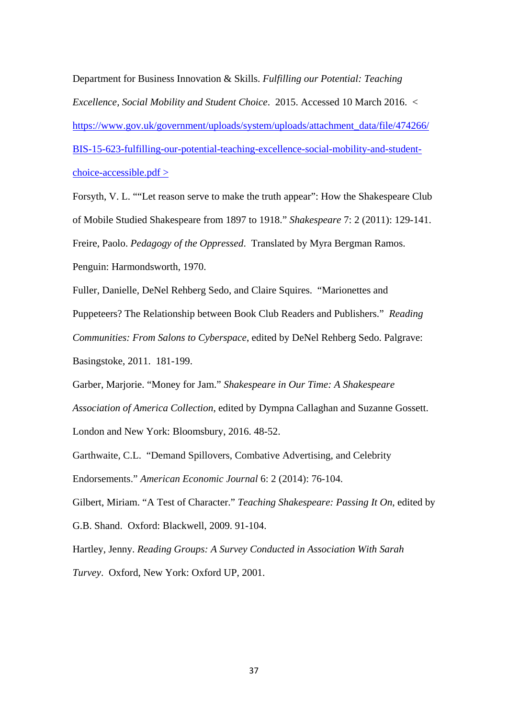Department for Business Innovation & Skills. *Fulfilling our Potential: Teaching Excellence, Social Mobility and Student Choice*. 2015. Accessed 10 March 2016. < [https://www.gov.uk/government/uploads/system/uploads/attachment\\_data/file/474266/](https://www.gov.uk/government/uploads/system/uploads/attachment_data/file/474266/BIS-15-623-fulfilling-our-potential-teaching-excellence-social-mobility-and-student-choice-accessible.pdf) [BIS-15-623-fulfilling-our-potential-teaching-excellence-social-mobility-and-student](https://www.gov.uk/government/uploads/system/uploads/attachment_data/file/474266/BIS-15-623-fulfilling-our-potential-teaching-excellence-social-mobility-and-student-choice-accessible.pdf)[choice-accessible.pdf](https://www.gov.uk/government/uploads/system/uploads/attachment_data/file/474266/BIS-15-623-fulfilling-our-potential-teaching-excellence-social-mobility-and-student-choice-accessible.pdf) >

Forsyth, V. L. ""Let reason serve to make the truth appear": How the Shakespeare Club of Mobile Studied Shakespeare from 1897 to 1918." *Shakespeare* 7: 2 (2011): 129-141. Freire, Paolo. *Pedagogy of the Oppressed*. Translated by Myra Bergman Ramos. Penguin: Harmondsworth, 1970.

Fuller, Danielle, DeNel Rehberg Sedo, and Claire Squires. "Marionettes and Puppeteers? The Relationship between Book Club Readers and Publishers." *Reading Communities: From Salons to Cyberspace*, edited by DeNel Rehberg Sedo. Palgrave: Basingstoke, 2011. 181-199.

Garber, Marjorie. "Money for Jam." *Shakespeare in Our Time: A Shakespeare Association of America Collection*, edited by Dympna Callaghan and Suzanne Gossett. London and New York: Bloomsbury, 2016. 48-52.

Garthwaite, C.L. "Demand Spillovers, Combative Advertising, and Celebrity Endorsements." *American Economic Journal* 6: 2 (2014): 76-104.

Gilbert, Miriam. "A Test of Character." *Teaching Shakespeare: Passing It On*, edited by G.B. Shand. Oxford: Blackwell, 2009. 91-104.

Hartley, Jenny. *Reading Groups: A Survey Conducted in Association With Sarah Turvey*. Oxford, New York: Oxford UP, 2001.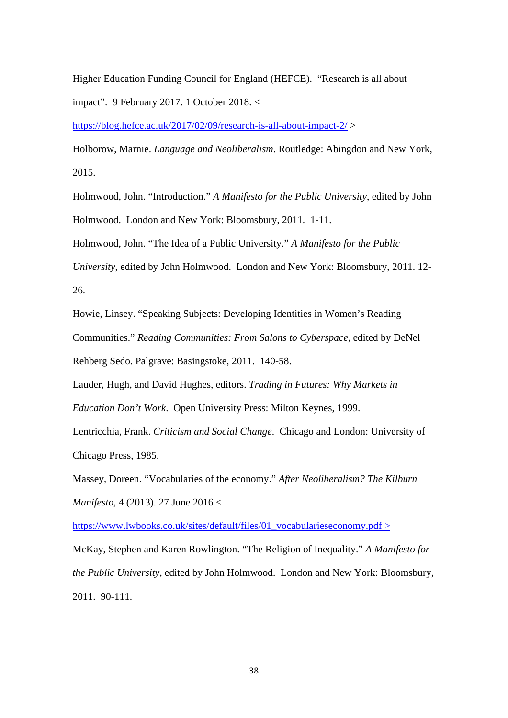Higher Education Funding Council for England (HEFCE). "Research is all about impact". 9 February 2017. 1 October 2018. <

<https://blog.hefce.ac.uk/2017/02/09/research-is-all-about-impact-2/> >

Holborow, Marnie. *Language and Neoliberalism*. Routledge: Abingdon and New York, 2015.

Holmwood, John. "Introduction." *A Manifesto for the Public University*, edited by John Holmwood. London and New York: Bloomsbury, 2011. 1-11.

Holmwood, John. "The Idea of a Public University." *A Manifesto for the Public* 

*University*, edited by John Holmwood. London and New York: Bloomsbury, 2011. 12- 26.

Howie, Linsey. "Speaking Subjects: Developing Identities in Women's Reading Communities." *Reading Communities: From Salons to Cyberspace*, edited by DeNel Rehberg Sedo. Palgrave: Basingstoke, 2011. 140-58.

Lauder, Hugh, and David Hughes, editors. *Trading in Futures: Why Markets in* 

*Education Don't Work*. Open University Press: Milton Keynes, 1999.

Lentricchia, Frank. *Criticism and Social Change*. Chicago and London: University of Chicago Press, 1985.

Massey, Doreen. "Vocabularies of the economy." *After Neoliberalism? The Kilburn Manifesto*, 4 (2013). 27 June 2016 <

[https://www.lwbooks.co.uk/sites/default/files/01\\_vocabularieseconomy.pdf](https://www.lwbooks.co.uk/sites/default/files/01_vocabularieseconomy.pdf) >

McKay, Stephen and Karen Rowlington. "The Religion of Inequality." *A Manifesto for the Public University*, edited by John Holmwood. London and New York: Bloomsbury, 2011. 90-111.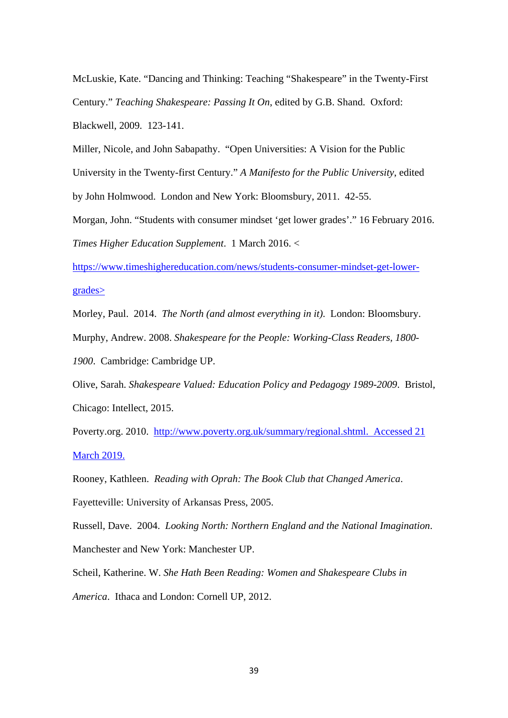McLuskie, Kate. "Dancing and Thinking: Teaching "Shakespeare" in the Twenty-First Century." *Teaching Shakespeare: Passing It On*, edited by G.B. Shand. Oxford: Blackwell, 2009. 123-141.

Miller, Nicole, and John Sabapathy. "Open Universities: A Vision for the Public University in the Twenty-first Century." *A Manifesto for the Public University*, edited by John Holmwood. London and New York: Bloomsbury, 2011. 42-55.

Morgan, John. "Students with consumer mindset 'get lower grades'." 16 February 2016. *Times Higher Education Supplement*. 1 March 2016. <

[https://www.timeshighereducation.com/news/students-consumer-mindset-get-lower](https://www.timeshighereducation.com/news/students-consumer-mindset-get-lower-grades)[grades>](https://www.timeshighereducation.com/news/students-consumer-mindset-get-lower-grades)

Morley, Paul. 2014. *The North (and almost everything in it)*. London: Bloomsbury. Murphy, Andrew. 2008. *Shakespeare for the People: Working-Class Readers, 1800- 1900*. Cambridge: Cambridge UP.

Olive, Sarah. *Shakespeare Valued: Education Policy and Pedagogy 1989-2009*. Bristol, Chicago: Intellect, 2015.

Poverty.org. 2010. [http://www.poverty.org.uk/summary/regional.shtml.](http://www.poverty.org.uk/summary/regional.shtml) Accessed 21 March 2019.

Rooney, Kathleen. *Reading with Oprah: The Book Club that Changed America*.

Fayetteville: University of Arkansas Press, 2005.

Russell, Dave. 2004. *Looking North: Northern England and the National Imagination*.

Manchester and New York: Manchester UP.

Scheil, Katherine. W. *She Hath Been Reading: Women and Shakespeare Clubs in America*. Ithaca and London: Cornell UP, 2012.